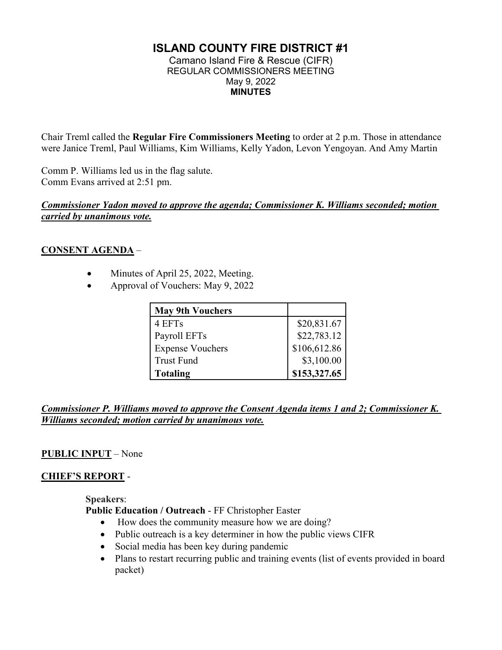# **ISLAND COUNTY FIRE DISTRICT #1**

Camano Island Fire & Rescue (CIFR) REGULAR COMMISSIONERS MEETING May 9, 2022 **MINUTES** 

Chair Treml called the **Regular Fire Commissioners Meeting** to order at 2 p.m. Those in attendance were Janice Treml, Paul Williams, Kim Williams, Kelly Yadon, Levon Yengoyan. And Amy Martin

Comm P. Williams led us in the flag salute. Comm Evans arrived at 2:51 pm.

#### *Commissioner Yadon moved to approve the agenda; Commissioner K. Williams seconded; motion carried by unanimous vote.*

## **CONSENT AGENDA** –

- Minutes of April 25, 2022, Meeting.
- Approval of Vouchers: May 9, 2022

| <b>May 9th Vouchers</b> |              |
|-------------------------|--------------|
| 4 EFTs                  | \$20,831.67  |
| Payroll EFTs            | \$22,783.12  |
| <b>Expense Vouchers</b> | \$106,612.86 |
| <b>Trust Fund</b>       | \$3,100.00   |
| <b>Totaling</b>         | \$153,327.65 |

*Commissioner P. Williams moved to approve the Consent Agenda items 1 and 2; Commissioner K. Williams seconded; motion carried by unanimous vote.* 

## **PUBLIC INPUT** – None

## **CHIEF'S REPORT** -

**Speakers**:

**Public Education / Outreach** - FF Christopher Easter

- How does the community measure how we are doing?
- Public outreach is a key determiner in how the public views CIFR
- Social media has been key during pandemic
- Plans to restart recurring public and training events (list of events provided in board packet)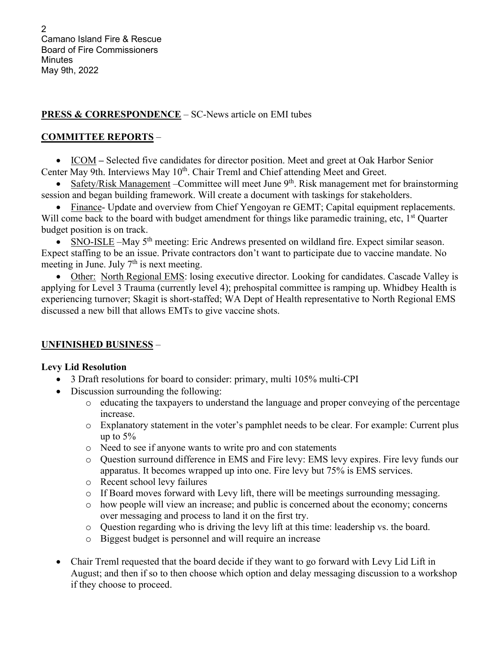## **PRESS & CORRESPONDENCE** – SC-News article on EMI tubes

## **COMMITTEE REPORTS** –

• ICOM – Selected five candidates for director position. Meet and greet at Oak Harbor Senior Center May 9th. Interviews May 10<sup>th</sup>. Chair Treml and Chief attending Meet and Greet.

• Safety/Risk Management – Committee will meet June  $9<sup>th</sup>$ . Risk management met for brainstorming session and began building framework. Will create a document with taskings for stakeholders.

• Finance- Update and overview from Chief Yengoyan re GEMT; Capital equipment replacements. Will come back to the board with budget amendment for things like paramedic training, etc, 1<sup>st</sup> Quarter budget position is on track.

• SNO-ISLE –May 5th meeting: Eric Andrews presented on wildland fire. Expect similar season. Expect staffing to be an issue. Private contractors don't want to participate due to vaccine mandate. No meeting in June. July  $7<sup>th</sup>$  is next meeting.

• Other: North Regional EMS: losing executive director. Looking for candidates. Cascade Valley is applying for Level 3 Trauma (currently level 4); prehospital committee is ramping up. Whidbey Health is experiencing turnover; Skagit is short-staffed; WA Dept of Health representative to North Regional EMS discussed a new bill that allows EMTs to give vaccine shots.

## **UNFINISHED BUSINESS** –

## **Levy Lid Resolution**

- 3 Draft resolutions for board to consider: primary, multi 105% multi-CPI
- Discussion surrounding the following:
	- o educating the taxpayers to understand the language and proper conveying of the percentage increase.
	- o Explanatory statement in the voter's pamphlet needs to be clear. For example: Current plus up to  $5%$
	- o Need to see if anyone wants to write pro and con statements
	- o Question surround difference in EMS and Fire levy: EMS levy expires. Fire levy funds our apparatus. It becomes wrapped up into one. Fire levy but 75% is EMS services.
	- o Recent school levy failures
	- o If Board moves forward with Levy lift, there will be meetings surrounding messaging.
	- o how people will view an increase; and public is concerned about the economy; concerns over messaging and process to land it on the first try.
	- o Question regarding who is driving the levy lift at this time: leadership vs. the board.
	- o Biggest budget is personnel and will require an increase
- Chair Treml requested that the board decide if they want to go forward with Levy Lid Lift in August; and then if so to then choose which option and delay messaging discussion to a workshop if they choose to proceed.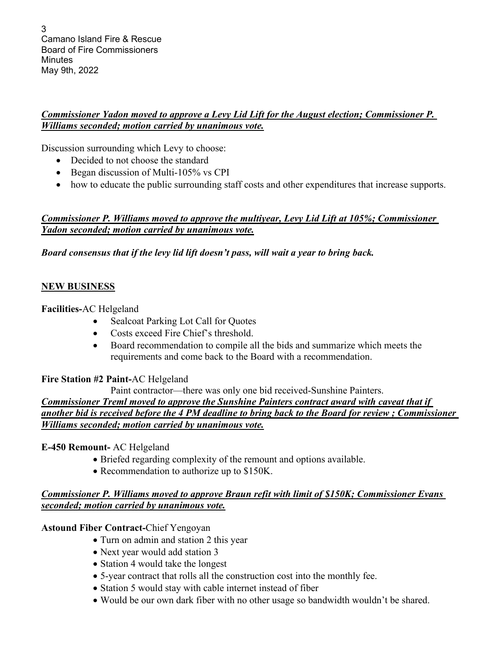3 Camano Island Fire & Rescue Board of Fire Commissioners **Minutes** May 9th, 2022

## *Commissioner Yadon moved to approve a Levy Lid Lift for the August election; Commissioner P. Williams seconded; motion carried by unanimous vote.*

Discussion surrounding which Levy to choose:

- Decided to not choose the standard
- Began discussion of Multi-105% vs CPI
- how to educate the public surrounding staff costs and other expenditures that increase supports.

## *Commissioner P. Williams moved to approve the multiyear, Levy Lid Lift at 105%; Commissioner Yadon seconded; motion carried by unanimous vote.*

*Board consensus that if the levy lid lift doesn't pass, will wait a year to bring back.* 

#### **NEW BUSINESS**

**Facilities-**AC Helgeland

- Sealcoat Parking Lot Call for Quotes
- Costs exceed Fire Chief's threshold.
- Board recommendation to compile all the bids and summarize which meets the requirements and come back to the Board with a recommendation.

#### **Fire Station #2 Paint-**AC Helgeland

Paint contractor—there was only one bid received-Sunshine Painters. *Commissioner Treml moved to approve the Sunshine Painters contract award with caveat that if* 

## *another bid is received before the 4 PM deadline to bring back to the Board for review ; Commissioner Williams seconded; motion carried by unanimous vote.*

## **E-450 Remount-** AC Helgeland

- Briefed regarding complexity of the remount and options available.
- Recommendation to authorize up to \$150K.

## *Commissioner P. Williams moved to approve Braun refit with limit of \$150K; Commissioner Evans seconded; motion carried by unanimous vote.*

## **Astound Fiber Contract-**Chief Yengoyan

- Turn on admin and station 2 this year
- Next year would add station 3
- Station 4 would take the longest
- 5-year contract that rolls all the construction cost into the monthly fee.
- Station 5 would stay with cable internet instead of fiber
- Would be our own dark fiber with no other usage so bandwidth wouldn't be shared.